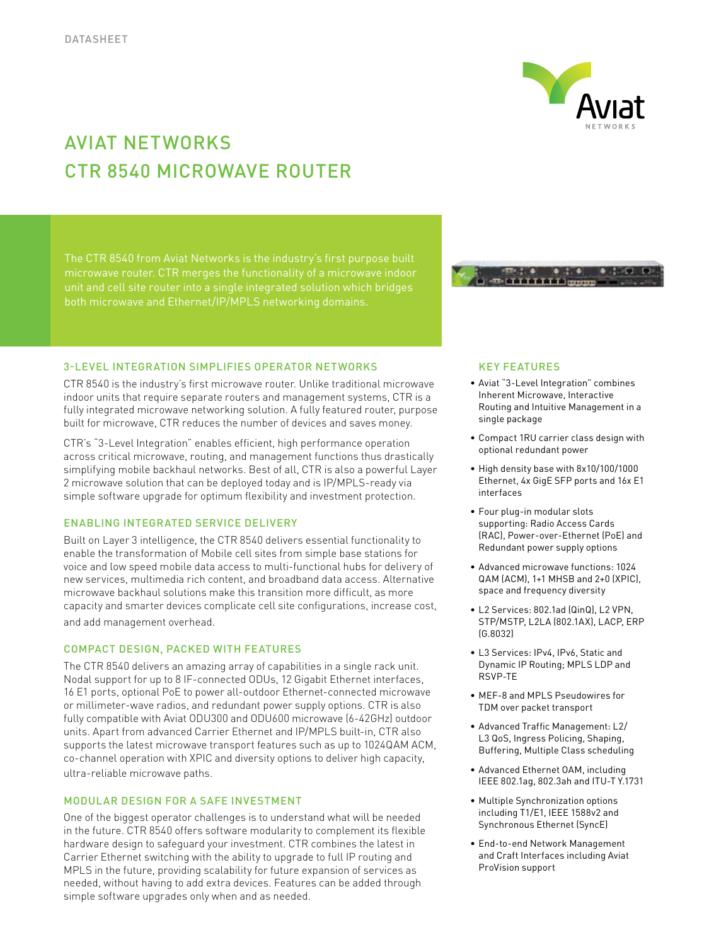

# Aviat networks CTR 8540 microwave Router

microwave router. CTR merges the functionality of a microwave indoor

# 3-Level Integration Simplifies Operator Networks

CTR 8540 is the industry's first microwave router. Unlike traditional microwave indoor units that require separate routers and management systems, CTR is a fully integrated microwave networking solution. A fully featured router, purpose built for microwave, CTR reduces the number of devices and saves money.

CTR's "3-Level Integration" enables efficient, high performance operation across critical microwave, routing, and management functions thus drastically simplifying mobile backhaul networks. Best of all, CTR is also a powerful Layer 2 microwave solution that can be deployed today and is IP/MPLS-ready via simple software upgrade for optimum flexibility and investment protection.

### Enabling Integrated Service Delivery

Built on Layer 3 intelligence, the CTR 8540 delivers essential functionality to enable the transformation of Mobile cell sites from simple base stations for voice and low speed mobile data access to multi-functional hubs for delivery of new services, multimedia rich content, and broadband data access. Alternative microwave backhaul solutions make this transition more difficult, as more capacity and smarter devices complicate cell site configurations, increase cost, and add management overhead.

### Compact Design, Packed with Features

The CTR 8540 delivers an amazing array of capabilities in a single rack unit. Nodal support for up to 8 IF-connected ODUs, 12 Gigabit Ethernet interfaces, 16 E1 ports, optional PoE to power all-outdoor Ethernet-connected microwave or millimeter-wave radios, and redundant power supply options. CTR is also fully compatible with Aviat ODU300 and ODU600 microwave (6-42GHz) outdoor units. Apart from advanced Carrier Ethernet and IP/MPLS built-in, CTR also supports the latest microwave transport features such as up to 1024QAM ACM, co-channel operation with XPIC and diversity options to deliver high capacity, ultra-reliable microwave paths.

## Modular Design for a Safe Investment

One of the biggest operator challenges is to understand what will be needed in the future. CTR 8540 offers software modularity to complement its flexible hardware design to safeguard your investment. CTR combines the latest in Carrier Ethernet switching with the ability to upgrade to full IP routing and MPLS in the future, providing scalability for future expansion of services as needed, without having to add extra devices. Features can be added through simple software upgrades only when and as needed.



## Key Features

- • Aviat "3-Level Integration" combines Inherent Microwave, Interactive Routing and Intuitive Management in a single package
- • Compact 1RU carrier class design with optional redundant power
- • High density base with 8x10/100/1000 Ethernet, 4x GigE SFP ports and 16x E1 interfaces
- • Four plug-in modular slots supporting: Radio Access Cards (RAC), Power-over-Ethernet (PoE) and Redundant power supply options
- • Advanced microwave functions: 1024 QAM (ACM), 1+1 MHSB and 2+0 (XPIC), space and frequency diversity
- • L2 Services: 802.1ad (QinQ), L2 VPN, STP/MSTP, L2LA (802.1AX), LACP, ERP (G.8032)
- • L3 Services: IPv4, IPv6, Static and Dynamic IP Routing; MPLS LDP and RSVP-TE
- • MEF-8 and MPLS Pseudowires for TDM over packet transport
- • Advanced Traffic Management: L2/ L3 QoS, Ingress Policing, Shaping, Buffering, Multiple Class scheduling
- • Advanced Ethernet OAM, including IEEE 802.1ag, 802.3ah and ITU-T Y.1731
- • Multiple Synchronization options including T1/E1, IEEE 1588v2 and Synchronous Ethernet (SyncE)
- • End-to-end Network Management and Craft Interfaces including Aviat ProVision support